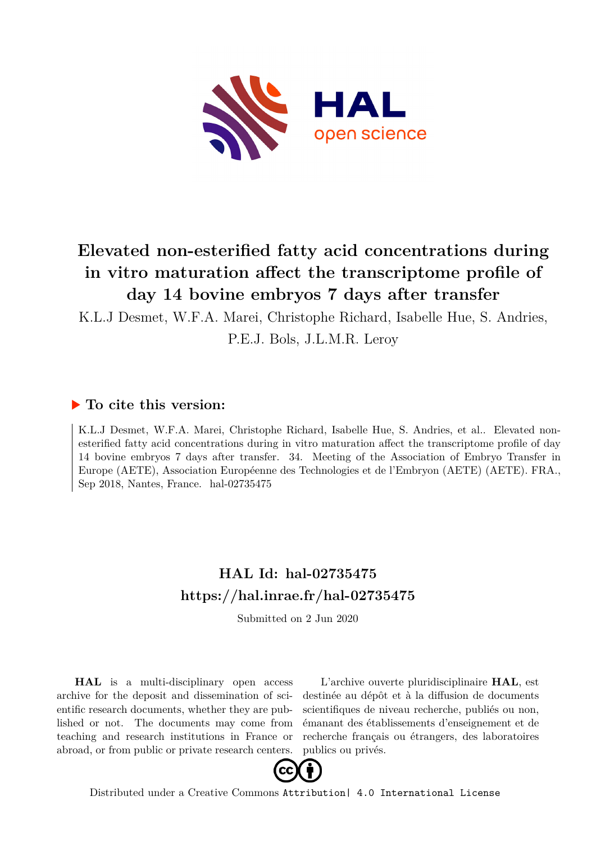

## **Elevated non-esterified fatty acid concentrations during in vitro maturation affect the transcriptome profile of day 14 bovine embryos 7 days after transfer**

K.L.J Desmet, W.F.A. Marei, Christophe Richard, Isabelle Hue, S. Andries,

P.E.J. Bols, J.L.M.R. Leroy

## **To cite this version:**

K.L.J Desmet, W.F.A. Marei, Christophe Richard, Isabelle Hue, S. Andries, et al.. Elevated nonesterified fatty acid concentrations during in vitro maturation affect the transcriptome profile of day 14 bovine embryos 7 days after transfer. 34. Meeting of the Association of Embryo Transfer in Europe (AETE), Association Européenne des Technologies et de l'Embryon (AETE) (AETE). FRA., Sep 2018, Nantes, France.  $hal-02735475$ 

## **HAL Id: hal-02735475 <https://hal.inrae.fr/hal-02735475>**

Submitted on 2 Jun 2020

**HAL** is a multi-disciplinary open access archive for the deposit and dissemination of scientific research documents, whether they are published or not. The documents may come from teaching and research institutions in France or abroad, or from public or private research centers.

L'archive ouverte pluridisciplinaire **HAL**, est destinée au dépôt et à la diffusion de documents scientifiques de niveau recherche, publiés ou non, émanant des établissements d'enseignement et de recherche français ou étrangers, des laboratoires publics ou privés.



Distributed under a Creative Commons [Attribution| 4.0 International License](http://creativecommons.org/licenses/by/4.0/)